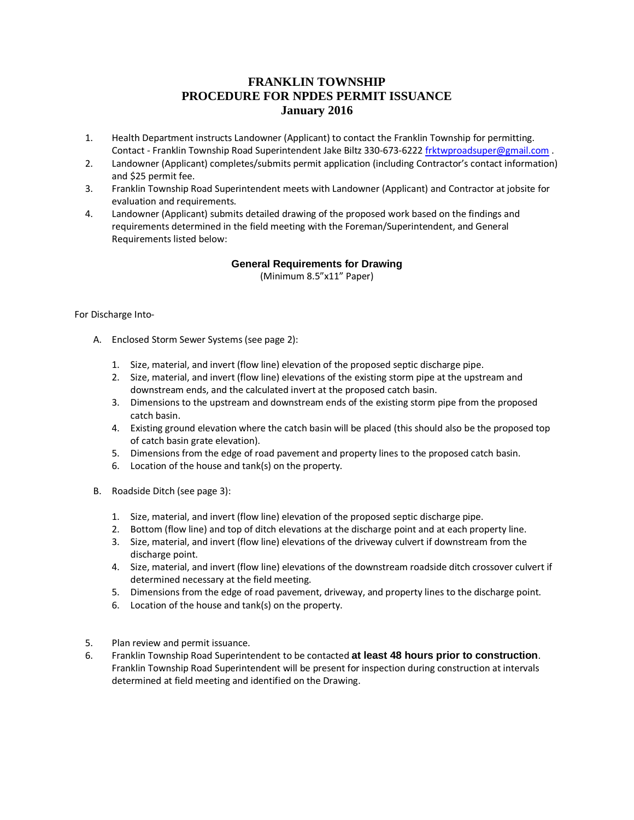## **FRANKLIN TOWNSHIP PROCEDURE FOR NPDES PERMIT ISSUANCE January 2016**

- 1. Health Department instructs Landowner (Applicant) to contact the Franklin Township for permitting. Contact - Franklin Township Road Superintendent Jake Biltz 330-673-622[2 frktwproadsuper@gmail.com](mailto:frktwproadsuper@gmail.com) .
- 2. Landowner (Applicant) completes/submits permit application (including Contractor's contact information) and \$25 permit fee.
- 3. Franklin Township Road Superintendent meets with Landowner (Applicant) and Contractor at jobsite for evaluation and requirements.
- 4. Landowner (Applicant) submits detailed drawing of the proposed work based on the findings and requirements determined in the field meeting with the Foreman/Superintendent, and General Requirements listed below:

## **General Requirements for Drawing**

(Minimum 8.5"x11" Paper)

## For Discharge Into‐

- A. Enclosed Storm Sewer Systems (see page 2):
	- 1. Size, material, and invert (flow line) elevation of the proposed septic discharge pipe.
	- 2. Size, material, and invert (flow line) elevations of the existing storm pipe at the upstream and downstream ends, and the calculated invert at the proposed catch basin.
	- 3. Dimensions to the upstream and downstream ends of the existing storm pipe from the proposed catch basin.
	- 4. Existing ground elevation where the catch basin will be placed (this should also be the proposed top of catch basin grate elevation).
	- 5. Dimensions from the edge of road pavement and property lines to the proposed catch basin.
	- 6. Location of the house and tank(s) on the property.
- B. Roadside Ditch (see page 3):
	- 1. Size, material, and invert (flow line) elevation of the proposed septic discharge pipe.
	- 2. Bottom (flow line) and top of ditch elevations at the discharge point and at each property line.
	- 3. Size, material, and invert (flow line) elevations of the driveway culvert if downstream from the discharge point.
	- 4. Size, material, and invert (flow line) elevations of the downstream roadside ditch crossover culvert if determined necessary at the field meeting.
	- 5. Dimensions from the edge of road pavement, driveway, and property lines to the discharge point.
	- 6. Location of the house and tank(s) on the property.
- 5. Plan review and permit issuance.
- 6. Franklin Township Road Superintendent to be contacted **at least 48 hours prior to construction**. Franklin Township Road Superintendent will be present for inspection during construction at intervals determined at field meeting and identified on the Drawing.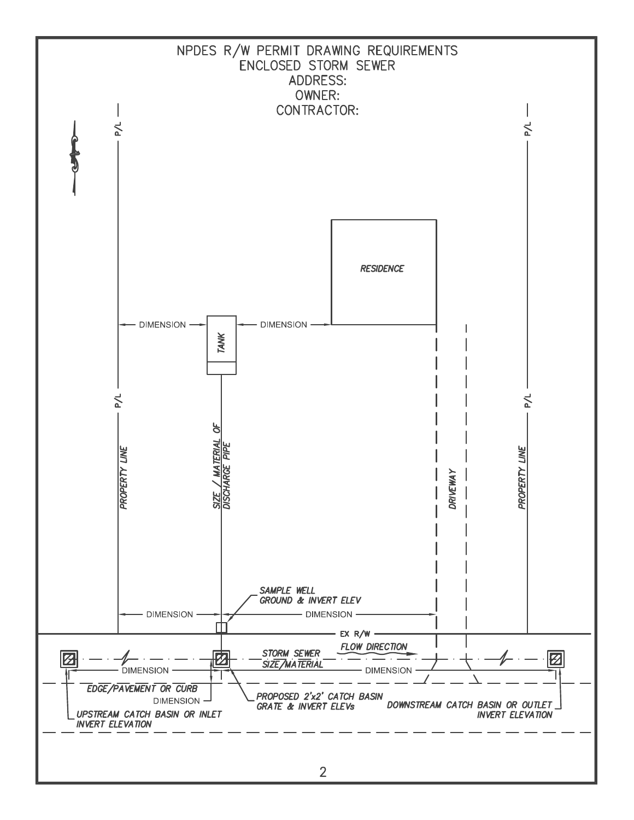